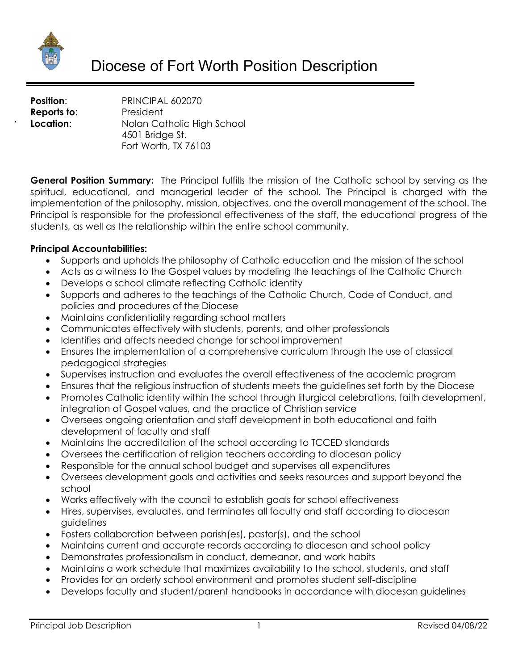

**Position:** PRINCIPAL 602070 **Reports to:** President **Location:** Nolan Catholic High School 4501 Bridge St. Fort Worth, TX 76103

**General Position Summary:** The Principal fulfills the mission of the Catholic school by serving as the spiritual, educational, and managerial leader of the school. The Principal is charged with the implementation of the philosophy, mission, objectives, and the overall management of the school. The Principal is responsible for the professional effectiveness of the staff, the educational progress of the students, as well as the relationship within the entire school community.

### **Principal Accountabilities:**

- Supports and upholds the philosophy of Catholic education and the mission of the school
- Acts as a witness to the Gospel values by modeling the teachings of the Catholic Church
- Develops a school climate reflecting Catholic identity
- Supports and adheres to the teachings of the Catholic Church, Code of Conduct, and policies and procedures of the Diocese
- Maintains confidentiality regarding school matters
- Communicates effectively with students, parents, and other professionals
- Identifies and affects needed change for school improvement
- Ensures the implementation of a comprehensive curriculum through the use of classical pedagogical strategies
- Supervises instruction and evaluates the overall effectiveness of the academic program
- Ensures that the religious instruction of students meets the guidelines set forth by the Diocese
- Promotes Catholic identity within the school through liturgical celebrations, faith development, integration of Gospel values, and the practice of Christian service
- Oversees ongoing orientation and staff development in both educational and faith development of faculty and staff
- Maintains the accreditation of the school according to TCCED standards
- Oversees the certification of religion teachers according to diocesan policy
- Responsible for the annual school budget and supervises all expenditures
- Oversees development goals and activities and seeks resources and support beyond the school
- Works effectively with the council to establish goals for school effectiveness
- Hires, supervises, evaluates, and terminates all faculty and staff according to diocesan guidelines
- Fosters collaboration between parish(es), pastor(s), and the school
- Maintains current and accurate records according to diocesan and school policy
- Demonstrates professionalism in conduct, demeanor, and work habits
- Maintains a work schedule that maximizes availability to the school, students, and staff
- Provides for an orderly school environment and promotes student self-discipline
- Develops faculty and student/parent handbooks in accordance with diocesan guidelines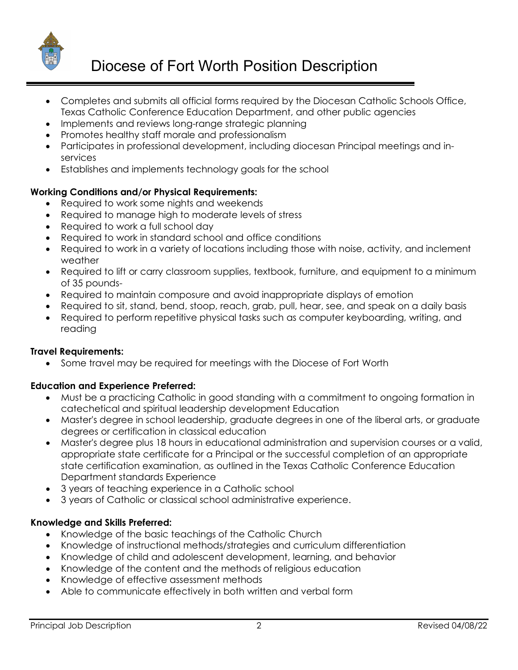

- Completes and submits all official forms required by the Diocesan Catholic Schools Office, Texas Catholic Conference Education Department, and other public agencies
- Implements and reviews long-range strategic planning
- Promotes healthy staff morale and professionalism
- Participates in professional development, including diocesan Principal meetings and inservices
- Establishes and implements technology goals for the school

## **Working Conditions and/or Physical Requirements:**

- Required to work some nights and weekends
- Required to manage high to moderate levels of stress
- Required to work a full school day
- Required to work in standard school and office conditions
- Required to work in a variety of locations including those with noise, activity, and inclement weather
- Required to lift or carry classroom supplies, textbook, furniture, and equipment to a minimum of 35 pounds-
- Required to maintain composure and avoid inappropriate displays of emotion
- Required to sit, stand, bend, stoop, reach, grab, pull, hear, see, and speak on a daily basis
- Required to perform repetitive physical tasks such as computer keyboarding, writing, and reading

### **Travel Requirements:**

• Some travel may be required for meetings with the Diocese of Fort Worth

# **Education and Experience Preferred:**

- Must be a practicing Catholic in good standing with a commitment to ongoing formation in catechetical and spiritual leadership development Education
- Master's degree in school leadership, graduate degrees in one of the liberal arts, or graduate degrees or certification in classical education
- Master's degree plus 18 hours in educational administration and supervision courses or a valid, appropriate state certificate for a Principal or the successful completion of an appropriate state certification examination, as outlined in the Texas Catholic Conference Education Department standards Experience
- 3 years of teaching experience in a Catholic school
- 3 years of Catholic or classical school administrative experience.

### **Knowledge and Skills Preferred:**

- Knowledge of the basic teachings of the Catholic Church
- Knowledge of instructional methods/strategies and curriculum differentiation
- Knowledge of child and adolescent development, learning, and behavior
- Knowledge of the content and the methods of religious education
- Knowledge of effective assessment methods
- Able to communicate effectively in both written and verbal form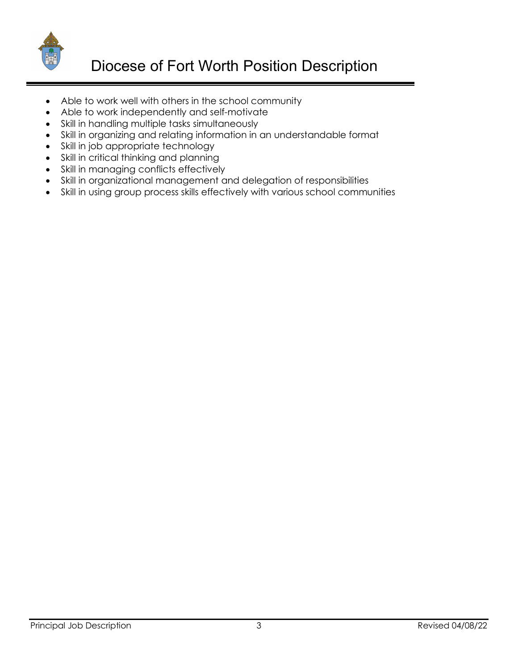

- Able to work well with others in the school community
- Able to work independently and self-motivate
- Skill in handling multiple tasks simultaneously
- Skill in organizing and relating information in an understandable format
- Skill in job appropriate technology
- Skill in critical thinking and planning
- Skill in managing conflicts effectively
- Skill in organizational management and delegation of responsibilities
- Skill in using group process skills effectively with various school communities